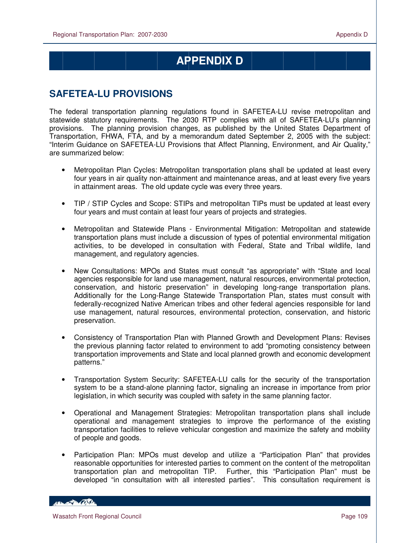$\overline{a}$ 

## **APPENDIX D**

## **SAFETEA-LU PROVISIONS**

The federal transportation planning regulations found in SAFETEA-LU revise metropolitan and statewide statutory requirements. The 2030 RTP complies with all of SAFETEA-LU's planning provisions. The planning provision changes, as published by the United States Department of Transportation, FHWA, FTA, and by a memorandum dated September 2, 2005 with the subject: "Interim Guidance on SAFETEA-LU Provisions that Affect Planning, Environment, and Air Quality," are summarized below:

- Metropolitan Plan Cycles: Metropolitan transportation plans shall be updated at least every four years in air quality non-attainment and maintenance areas, and at least every five years in attainment areas. The old update cycle was every three years.
- TIP / STIP Cycles and Scope: STIPs and metropolitan TIPs must be updated at least every four years and must contain at least four years of projects and strategies.
- Metropolitan and Statewide Plans Environmental Mitigation: Metropolitan and statewide transportation plans must include a discussion of types of potential environmental mitigation activities, to be developed in consultation with Federal, State and Tribal wildlife, land management, and regulatory agencies.
- New Consultations: MPOs and States must consult "as appropriate" with "State and local agencies responsible for land use management, natural resources, environmental protection, conservation, and historic preservation" in developing long-range transportation plans. Additionally for the Long-Range Statewide Transportation Plan, states must consult with federally-recognized Native American tribes and other federal agencies responsible for land use management, natural resources, environmental protection, conservation, and historic preservation.
- Consistency of Transportation Plan with Planned Growth and Development Plans: Revises the previous planning factor related to environment to add "promoting consistency between transportation improvements and State and local planned growth and economic development patterns."
- Transportation System Security: SAFETEA-LU calls for the security of the transportation system to be a stand-alone planning factor, signaling an increase in importance from prior legislation, in which security was coupled with safety in the same planning factor.
- Operational and Management Strategies: Metropolitan transportation plans shall include operational and management strategies to improve the performance of the existing transportation facilities to relieve vehicular congestion and maximize the safety and mobility of people and goods.
- Participation Plan: MPOs must develop and utilize a "Participation Plan" that provides reasonable opportunities for interested parties to comment on the content of the metropolitan transportation plan and metropolitan TIP. Further, this "Participation Plan" must be developed "in consultation with all interested parties". This consultation requirement is

**CONTRACTOR**